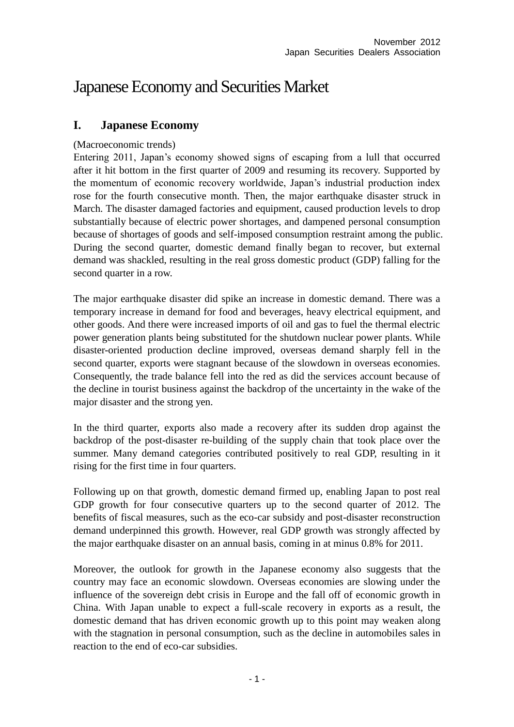# Japanese Economy and Securities Market

# **I. Japanese Economy**

### (Macroeconomic trends)

Entering 2011, Japan's economy showed signs of escaping from a lull that occurred after it hit bottom in the first quarter of 2009 and resuming its recovery. Supported by the momentum of economic recovery worldwide, Japan's industrial production index rose for the fourth consecutive month. Then, the major earthquake disaster struck in March. The disaster damaged factories and equipment, caused production levels to drop substantially because of electric power shortages, and dampened personal consumption because of shortages of goods and self-imposed consumption restraint among the public. During the second quarter, domestic demand finally began to recover, but external demand was shackled, resulting in the real gross domestic product (GDP) falling for the second quarter in a row.

The major earthquake disaster did spike an increase in domestic demand. There was a temporary increase in demand for food and beverages, heavy electrical equipment, and other goods. And there were increased imports of oil and gas to fuel the thermal electric power generation plants being substituted for the shutdown nuclear power plants. While disaster-oriented production decline improved, overseas demand sharply fell in the second quarter, exports were stagnant because of the slowdown in overseas economies. Consequently, the trade balance fell into the red as did the services account because of the decline in tourist business against the backdrop of the uncertainty in the wake of the major disaster and the strong yen.

In the third quarter, exports also made a recovery after its sudden drop against the backdrop of the post-disaster re-building of the supply chain that took place over the summer. Many demand categories contributed positively to real GDP, resulting in it rising for the first time in four quarters.

Following up on that growth, domestic demand firmed up, enabling Japan to post real GDP growth for four consecutive quarters up to the second quarter of 2012. The benefits of fiscal measures, such as the eco-car subsidy and post-disaster reconstruction demand underpinned this growth. However, real GDP growth was strongly affected by the major earthquake disaster on an annual basis, coming in at minus 0.8% for 2011.

Moreover, the outlook for growth in the Japanese economy also suggests that the country may face an economic slowdown. Overseas economies are slowing under the influence of the sovereign debt crisis in Europe and the fall off of economic growth in China. With Japan unable to expect a full-scale recovery in exports as a result, the domestic demand that has driven economic growth up to this point may weaken along with the stagnation in personal consumption, such as the decline in automobiles sales in reaction to the end of eco-car subsidies.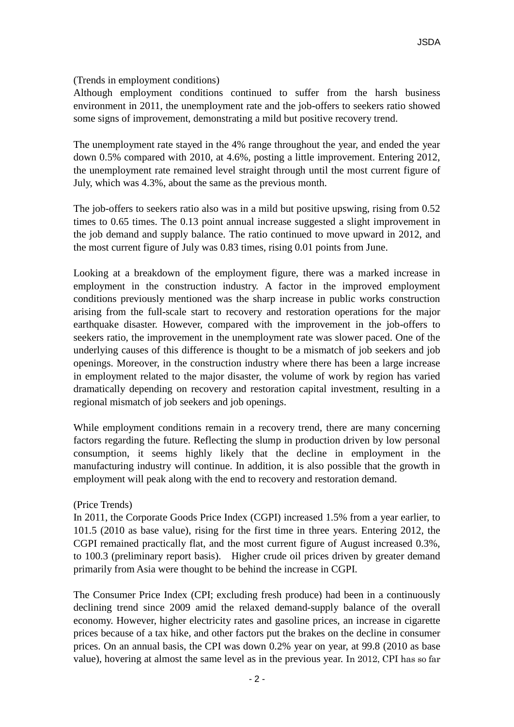### (Trends in employment conditions)

Although employment conditions continued to suffer from the harsh business environment in 2011, the unemployment rate and the job-offers to seekers ratio showed some signs of improvement, demonstrating a mild but positive recovery trend.

The unemployment rate stayed in the 4% range throughout the year, and ended the year down 0.5% compared with 2010, at 4.6%, posting a little improvement. Entering 2012, the unemployment rate remained level straight through until the most current figure of July, which was 4.3%, about the same as the previous month.

The job-offers to seekers ratio also was in a mild but positive upswing, rising from 0.52 times to 0.65 times. The 0.13 point annual increase suggested a slight improvement in the job demand and supply balance. The ratio continued to move upward in 2012, and the most current figure of July was 0.83 times, rising 0.01 points from June.

Looking at a breakdown of the employment figure, there was a marked increase in employment in the construction industry. A factor in the improved employment conditions previously mentioned was the sharp increase in public works construction arising from the full-scale start to recovery and restoration operations for the major earthquake disaster. However, compared with the improvement in the job-offers to seekers ratio, the improvement in the unemployment rate was slower paced. One of the underlying causes of this difference is thought to be a mismatch of job seekers and job openings. Moreover, in the construction industry where there has been a large increase in employment related to the major disaster, the volume of work by region has varied dramatically depending on recovery and restoration capital investment, resulting in a regional mismatch of job seekers and job openings.

While employment conditions remain in a recovery trend, there are many concerning factors regarding the future. Reflecting the slump in production driven by low personal consumption, it seems highly likely that the decline in employment in the manufacturing industry will continue. In addition, it is also possible that the growth in employment will peak along with the end to recovery and restoration demand.

### (Price Trends)

In 2011, the Corporate Goods Price Index (CGPI) increased 1.5% from a year earlier, to 101.5 (2010 as base value), rising for the first time in three years. Entering 2012, the CGPI remained practically flat, and the most current figure of August increased 0.3%, to 100.3 (preliminary report basis). Higher crude oil prices driven by greater demand primarily from Asia were thought to be behind the increase in CGPI.

The Consumer Price Index (CPI; excluding fresh produce) had been in a continuously declining trend since 2009 amid the relaxed demand-supply balance of the overall economy. However, higher electricity rates and gasoline prices, an increase in cigarette prices because of a tax hike, and other factors put the brakes on the decline in consumer prices. On an annual basis, the CPI was down 0.2% year on year, at 99.8 (2010 as base value), hovering at almost the same level as in the previous year. In 2012, CPI has so far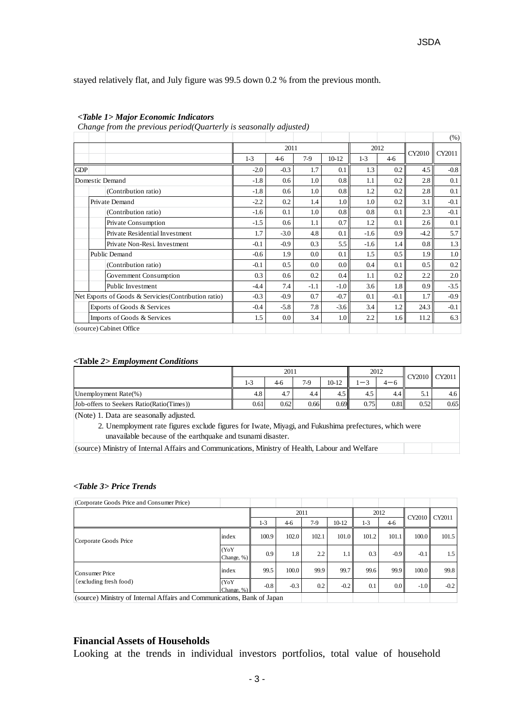stayed relatively flat, and July figure was 99.5 down 0.2 % from the previous month.

#### *<Table 1> Major Economic Indicators*

*Change from the previous period(Quarterly is seasonally adjusted)*

|                                                       |                                |        |        |        |                  |        |                  |        | (% )   |  |
|-------------------------------------------------------|--------------------------------|--------|--------|--------|------------------|--------|------------------|--------|--------|--|
|                                                       |                                |        | 2011   |        |                  |        | 2012             | CY2010 | CY2011 |  |
|                                                       |                                | $1-3$  | $4-6$  | $7-9$  | $10-12$          | $1-3$  | $4-6$            |        |        |  |
| <b>GDP</b>                                            |                                | $-2.0$ | $-0.3$ | 1.7    | 0.1              | 1.3    | 0.2              | 4.5    | $-0.8$ |  |
|                                                       | Domestic Demand                |        | 0.6    | 1.0    | 0.8              | 1.1    | 0.2              | 2.8    | 0.1    |  |
|                                                       | (Contribution ratio)           | $-1.8$ | 0.6    | 1.0    | 0.8              | 1.2    | 0.2              | 2.8    | 0.1    |  |
|                                                       | Private Demand                 | $-2.2$ | 0.2    | 1.4    | 1.0 <sub>l</sub> | 1.0    | 0.2              | 3.1    | $-0.1$ |  |
|                                                       | (Contribution ratio)           |        | 0.1    | 1.0    | 0.8              | 0.8    | 0.1              | 2.3    | $-0.1$ |  |
|                                                       | Private Consumption            |        | 0.6    | 1.1    | 0.7              | 1.2    | 0.1              | 2.6    | 0.1    |  |
|                                                       | Private Residential Investment |        | $-3.0$ | 4.8    | 0.1              | $-1.6$ | 0.9 <sub>1</sub> | $-4.2$ | 5.7    |  |
|                                                       | Private Non-Resi. Investment   | $-0.1$ | $-0.9$ | 0.3    | 5.5              | $-1.6$ | 1.4              | 0.8    | 1.3    |  |
|                                                       | Public Demand                  | $-0.6$ | 1.9    | 0.0    | 0.1              | 1.5    | 0.5              | 1.9    | 1.0    |  |
|                                                       | (Contribution ratio)           | $-0.1$ | 0.5    | 0.0    | 0.0 <sub>1</sub> | 0.4    | 0.1              | 0.5    | 0.2    |  |
|                                                       | Government Consumption         | 0.3    | 0.6    | 0.2    | 0.4              | 1.1    | 0.2              | 2.2    | 2.0    |  |
|                                                       | Public Investment              | $-4.4$ | 7.4    | $-1.1$ | $-1.0$           | 3.6    | 1.8              | 0.9    | $-3.5$ |  |
| Net Exports of Goods & Servicies (Contribution ratio) |                                | $-0.3$ | $-0.9$ | 0.7    | $-0.7$           | 0.1    | $-0.1$           | 1.7    | $-0.9$ |  |
| Exports of Goods & Services                           |                                | $-0.4$ | $-5.8$ | 7.8    | $-3.6$           | 3.4    | 1.2              | 24.3   | $-0.1$ |  |
|                                                       | Imports of Goods & Services    |        | 0.0    | 3.4    | 1.0 <sub>1</sub> | 2.2    | $1.6 \parallel$  | 11.2   | 6.3    |  |
|                                                       | (source) Cabinet Office        |        |        |        |                  |        |                  |        |        |  |

#### *<***Table** *2> Employment Conditions*

|                                           |      | 2011 |       |         | 2012 |      | CY2010 CY2011 |      |
|-------------------------------------------|------|------|-------|---------|------|------|---------------|------|
|                                           | 1-3  | 4-6  | $7-9$ | $10-12$ | -    | 4— ճ |               |      |
| Unemployment Rate(%)                      | 4.8  | 4.7  | 4.4   | 4.5     | 4.5  | 4.4  |               | 4.6  |
| Job-offers to Seekers Ratio(Ratio(Times)) | 0.61 | 0.62 | 0.66  | 0.69    | 0.75 | 0.81 | 0.52          | 0.65 |

(Note) 1. Data are seasonally adjusted.

 2. Unemployment rate figures exclude figures for Iwate, Miyagi, and Fukushima prefectures, which were unavailable because of the earthquake and tsunami disaster.

(source) Ministry of Internal Affairs and Communications, Ministry of Health, Labour and Welfare

#### *<Table 3> Price Trends*

| (Corporate Goods Price and Consumer Price)                              |                        |        |        |       |         |       |                  |        |        |
|-------------------------------------------------------------------------|------------------------|--------|--------|-------|---------|-------|------------------|--------|--------|
|                                                                         |                        |        | 2011   |       |         |       | 2012             | CY2010 | CY2011 |
|                                                                         |                        | $1-3$  | $4-6$  | $7-9$ | $10-12$ | $1-3$ | $4-6$            |        |        |
| Corporate Goods Price                                                   | index                  | 100.9  | 102.0  | 102.1 | 101.0   | 101.2 | 101.1            | 100.0  | 101.5  |
|                                                                         | (YoY<br>Change, %)     | 0.9    | 1.8    | 2.2   | 1.1     | 0.3   | $-0.9$           | $-0.1$ | 1.5    |
| Consumer Price                                                          | index                  | 99.5   | 100.0  | 99.9  | 99.7    | 99.6  | 99.9             | 100.0  | 99.8   |
| (excluding fresh food)                                                  | (YoY<br>Change, $\%$ ) | $-0.8$ | $-0.3$ | 0.2   | $-0.2$  | 0.1   | 0.0 <sub>l</sub> | $-1.0$ | $-0.2$ |
| (source) Ministry of Internal Affairs and Communications, Bank of Japan |                        |        |        |       |         |       |                  |        |        |

### **Financial Assets of Households**

Looking at the trends in individual investors portfolios, total value of household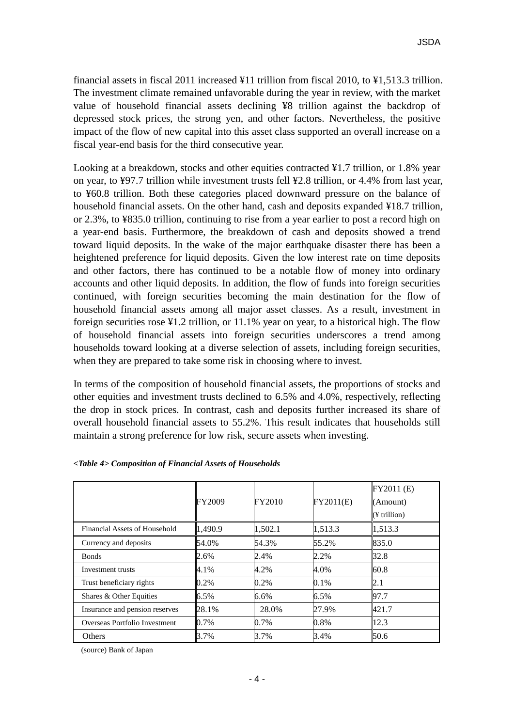financial assets in fiscal 2011 increased ¥11 trillion from fiscal 2010, to ¥1,513.3 trillion. The investment climate remained unfavorable during the year in review, with the market value of household financial assets declining ¥8 trillion against the backdrop of depressed stock prices, the strong yen, and other factors. Nevertheless, the positive impact of the flow of new capital into this asset class supported an overall increase on a fiscal year-end basis for the third consecutive year.

Looking at a breakdown, stocks and other equities contracted ¥1.7 trillion, or 1.8% year on year, to ¥97.7 trillion while investment trusts fell ¥2.8 trillion, or 4.4% from last year, to ¥60.8 trillion. Both these categories placed downward pressure on the balance of household financial assets. On the other hand, cash and deposits expanded ¥18.7 trillion, or 2.3%, to ¥835.0 trillion, continuing to rise from a year earlier to post a record high on a year-end basis. Furthermore, the breakdown of cash and deposits showed a trend toward liquid deposits. In the wake of the major earthquake disaster there has been a heightened preference for liquid deposits. Given the low interest rate on time deposits and other factors, there has continued to be a notable flow of money into ordinary accounts and other liquid deposits. In addition, the flow of funds into foreign securities continued, with foreign securities becoming the main destination for the flow of household financial assets among all major asset classes. As a result, investment in foreign securities rose ¥1.2 trillion, or 11.1% year on year, to a historical high. The flow of household financial assets into foreign securities underscores a trend among households toward looking at a diverse selection of assets, including foreign securities, when they are prepared to take some risk in choosing where to invest.

In terms of the composition of household financial assets, the proportions of stocks and other equities and investment trusts declined to 6.5% and 4.0%, respectively, reflecting the drop in stock prices. In contrast, cash and deposits further increased its share of overall household financial assets to 55.2%. This result indicates that households still maintain a strong preference for low risk, secure assets when investing.

|                                | FY2009  | <b>FY2010</b> | FY2011(E) | FY2011 (E)<br>(Amount)<br>(¥ trillion) |
|--------------------------------|---------|---------------|-----------|----------------------------------------|
| Financial Assets of Household  | 1,490.9 | 1,502.1       | 1,513.3   | 1,513.3                                |
| Currency and deposits          | 54.0%   | 54.3%         | 55.2%     | 835.0                                  |
| <b>Bonds</b>                   | 2.6%    | 2.4%          | 2.2%      | 32.8                                   |
| Investment trusts              | 4.1%    | 4.2%          | 4.0%      | 60.8                                   |
| Trust beneficiary rights       | 0.2%    | 0.2%          | 0.1%      | 2.1                                    |
| Shares & Other Equities        | $6.5\%$ | 6.6%          | 6.5%      | 97.7                                   |
| Insurance and pension reserves | 28.1%   | 28.0%         | 27.9%     | 421.7                                  |
| Overseas Portfolio Investment  | 0.7%    | $0.7\%$       | 0.8%      | 12.3                                   |
| Others                         | 3.7%    | 3.7%          | 3.4%      | 50.6                                   |

#### *<Table 4> Composition of Financial Assets of Households*

(source) Bank of Japan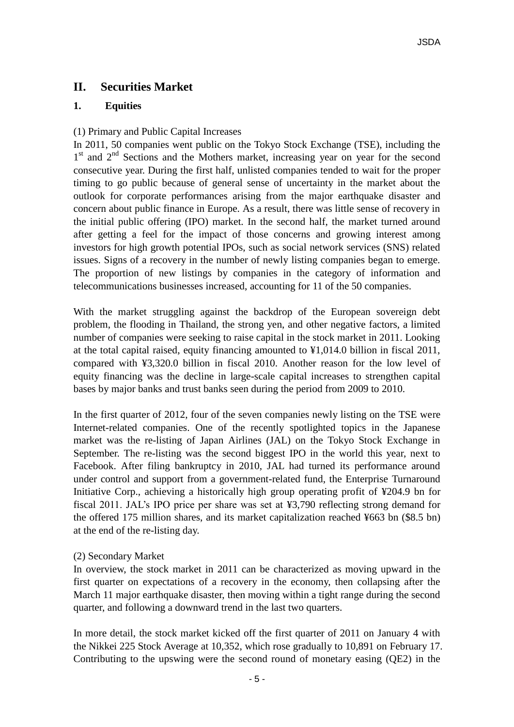# **II. Securities Market**

### **1. Equities**

### (1) Primary and Public Capital Increases

In 2011, 50 companies went public on the Tokyo Stock Exchange (TSE), including the 1<sup>st</sup> and 2<sup>nd</sup> Sections and the Mothers market, increasing year on year for the second consecutive year. During the first half, unlisted companies tended to wait for the proper timing to go public because of general sense of uncertainty in the market about the outlook for corporate performances arising from the major earthquake disaster and concern about public finance in Europe. As a result, there was little sense of recovery in the initial public offering (IPO) market. In the second half, the market turned around after getting a feel for the impact of those concerns and growing interest among investors for high growth potential IPOs, such as social network services (SNS) related issues. Signs of a recovery in the number of newly listing companies began to emerge. The proportion of new listings by companies in the category of information and telecommunications businesses increased, accounting for 11 of the 50 companies.

With the market struggling against the backdrop of the European sovereign debt problem, the flooding in Thailand, the strong yen, and other negative factors, a limited number of companies were seeking to raise capital in the stock market in 2011. Looking at the total capital raised, equity financing amounted to ¥1,014.0 billion in fiscal 2011, compared with ¥3,320.0 billion in fiscal 2010. Another reason for the low level of equity financing was the decline in large-scale capital increases to strengthen capital bases by major banks and trust banks seen during the period from 2009 to 2010.

In the first quarter of 2012, four of the seven companies newly listing on the TSE were Internet-related companies. One of the recently spotlighted topics in the Japanese market was the re-listing of Japan Airlines (JAL) on the Tokyo Stock Exchange in September. The re-listing was the second biggest IPO in the world this year, next to Facebook. After filing bankruptcy in 2010, JAL had turned its performance around under control and support from a government-related fund, the Enterprise Turnaround Initiative Corp., achieving a historically high group operating profit of ¥204.9 bn for fiscal 2011. JAL's IPO price per share was set at ¥3,790 reflecting strong demand for the offered 175 million shares, and its market capitalization reached ¥663 bn (\$8.5 bn) at the end of the re-listing day.

### (2) Secondary Market

In overview, the stock market in 2011 can be characterized as moving upward in the first quarter on expectations of a recovery in the economy, then collapsing after the March 11 major earthquake disaster, then moving within a tight range during the second quarter, and following a downward trend in the last two quarters.

In more detail, the stock market kicked off the first quarter of 2011 on January 4 with the Nikkei 225 Stock Average at 10,352, which rose gradually to 10,891 on February 17. Contributing to the upswing were the second round of monetary easing (QE2) in the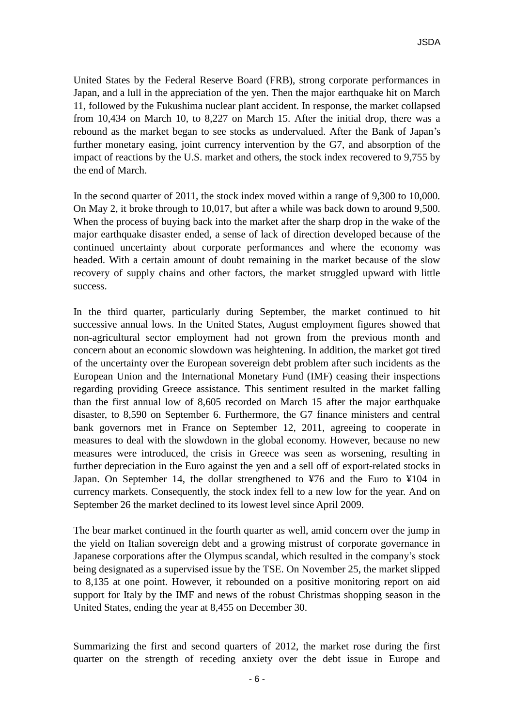United States by the Federal Reserve Board (FRB), strong corporate performances in Japan, and a lull in the appreciation of the yen. Then the major earthquake hit on March 11, followed by the Fukushima nuclear plant accident. In response, the market collapsed from 10,434 on March 10, to 8,227 on March 15. After the initial drop, there was a rebound as the market began to see stocks as undervalued. After the Bank of Japan's further monetary easing, joint currency intervention by the G7, and absorption of the impact of reactions by the U.S. market and others, the stock index recovered to 9,755 by the end of March.

In the second quarter of 2011, the stock index moved within a range of 9,300 to 10,000. On May 2, it broke through to 10,017, but after a while was back down to around 9,500. When the process of buying back into the market after the sharp drop in the wake of the major earthquake disaster ended, a sense of lack of direction developed because of the continued uncertainty about corporate performances and where the economy was headed. With a certain amount of doubt remaining in the market because of the slow recovery of supply chains and other factors, the market struggled upward with little success.

In the third quarter, particularly during September, the market continued to hit successive annual lows. In the United States, August employment figures showed that non-agricultural sector employment had not grown from the previous month and concern about an economic slowdown was heightening. In addition, the market got tired of the uncertainty over the European sovereign debt problem after such incidents as the European Union and the International Monetary Fund (IMF) ceasing their inspections regarding providing Greece assistance. This sentiment resulted in the market falling than the first annual low of 8,605 recorded on March 15 after the major earthquake disaster, to 8,590 on September 6. Furthermore, the G7 finance ministers and central bank governors met in France on September 12, 2011, agreeing to cooperate in measures to deal with the slowdown in the global economy. However, because no new measures were introduced, the crisis in Greece was seen as worsening, resulting in further depreciation in the Euro against the yen and a sell off of export-related stocks in Japan. On September 14, the dollar strengthened to ¥76 and the Euro to ¥104 in currency markets. Consequently, the stock index fell to a new low for the year. And on September 26 the market declined to its lowest level since April 2009.

The bear market continued in the fourth quarter as well, amid concern over the jump in the yield on Italian sovereign debt and a growing mistrust of corporate governance in Japanese corporations after the Olympus scandal, which resulted in the company's stock being designated as a supervised issue by the TSE. On November 25, the market slipped to 8,135 at one point. However, it rebounded on a positive monitoring report on aid support for Italy by the IMF and news of the robust Christmas shopping season in the United States, ending the year at 8,455 on December 30.

Summarizing the first and second quarters of 2012, the market rose during the first quarter on the strength of receding anxiety over the debt issue in Europe and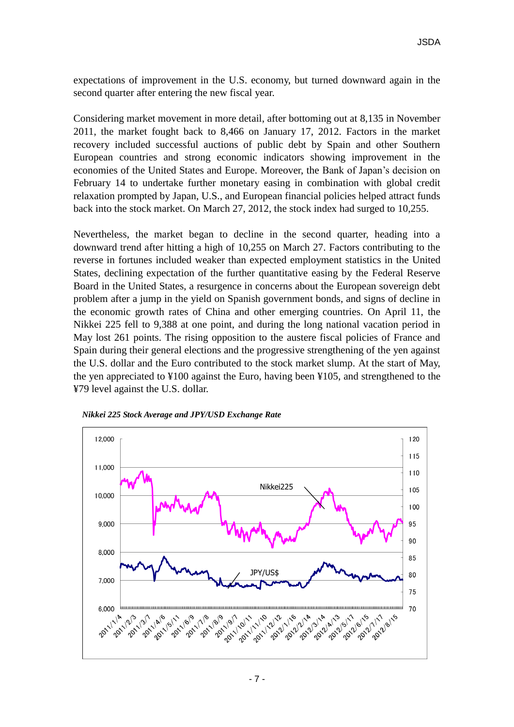expectations of improvement in the U.S. economy, but turned downward again in the second quarter after entering the new fiscal year.

Considering market movement in more detail, after bottoming out at 8,135 in November 2011, the market fought back to 8,466 on January 17, 2012. Factors in the market recovery included successful auctions of public debt by Spain and other Southern European countries and strong economic indicators showing improvement in the economies of the United States and Europe. Moreover, the Bank of Japan's decision on February 14 to undertake further monetary easing in combination with global credit relaxation prompted by Japan, U.S., and European financial policies helped attract funds back into the stock market. On March 27, 2012, the stock index had surged to 10,255.

Nevertheless, the market began to decline in the second quarter, heading into a downward trend after hitting a high of 10,255 on March 27. Factors contributing to the reverse in fortunes included weaker than expected employment statistics in the United States, declining expectation of the further quantitative easing by the Federal Reserve Board in the United States, a resurgence in concerns about the European sovereign debt problem after a jump in the yield on Spanish government bonds, and signs of decline in the economic growth rates of China and other emerging countries. On April 11, the Nikkei 225 fell to 9,388 at one point, and during the long national vacation period in May lost 261 points. The rising opposition to the austere fiscal policies of France and Spain during their general elections and the progressive strengthening of the yen against the U.S. dollar and the Euro contributed to the stock market slump. At the start of May, the yen appreciated to ¥100 against the Euro, having been ¥105, and strengthened to the ¥79 level against the U.S. dollar.



*Nikkei 225 Stock Average and JPY/USD Exchange Rate*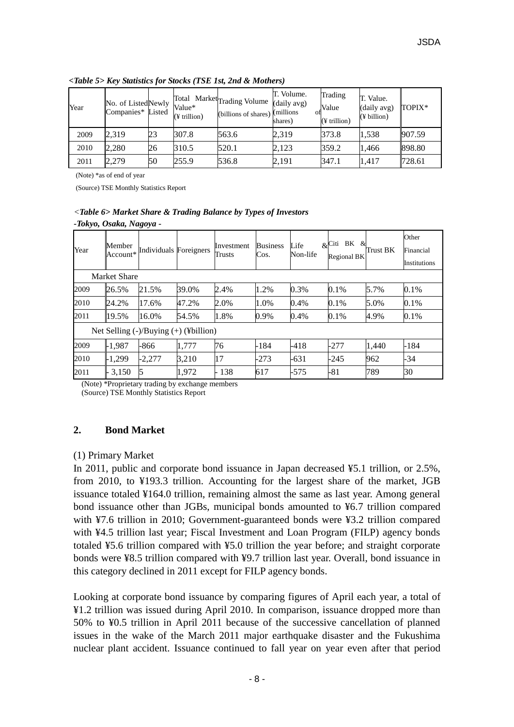| Year | No. of ListedNewly<br>Companies* Listed |    | Value*<br>(¥ trillion) | Total Market Trading Volume (daily avg)<br>(billions of shares) (millions | T. Volume.<br>shares) | Trading<br>Value<br>$($ ¥ trillion $)$ | T. Value.<br>(daily avg)<br>(¥ billion) | TOPIX* |
|------|-----------------------------------------|----|------------------------|---------------------------------------------------------------------------|-----------------------|----------------------------------------|-----------------------------------------|--------|
| 2009 | 2.319                                   | 23 | 307.8                  | 563.6                                                                     | 2,319                 | 373.8                                  | 1,538                                   | 907.59 |
| 2010 | 2,280                                   | 26 | 310.5                  | 520.1                                                                     | 2,123                 | 359.2                                  | 1,466                                   | 898.80 |
| 2011 | 2,279                                   | 50 | 255.9                  | 536.8                                                                     | 2,191                 | 347.1                                  | 1,417                                   | 728.61 |

*<Table 5> Key Statistics for Stocks (TSE 1st, 2nd & Mothers)*

(Note) \*as of end of year

(Source) TSE Monthly Statistics Report

# *<Table 6> Market Share & Trading Balance by Types of Investors*

*-Tokyo, Osaka, Nagoya -*

| Year | Member<br>Account* | Individuals Foreigners                |       | Investment<br>Trusts | <b>Business</b><br>Cos. | Life<br>Non-life | BK &<br>$\&$ Citi<br><b>Regional BK</b> | Trust BK | Other<br>Financial<br>Institutions |
|------|--------------------|---------------------------------------|-------|----------------------|-------------------------|------------------|-----------------------------------------|----------|------------------------------------|
|      | Market Share       |                                       |       |                      |                         |                  |                                         |          |                                    |
| 2009 | 26.5%              | 21.5%                                 | 39.0% | 2.4%                 | 1.2%                    | 0.3%             | $0.1\%$                                 | 5.7%     | 0.1%                               |
| 2010 | 24.2%              | 17.6%                                 | 47.2% | 2.0%                 | 1.0%                    | 0.4%             | 0.1%                                    | 5.0%     | 0.1%                               |
| 2011 | 19.5%              | 16.0%                                 | 54.5% | 1.8%                 | 0.9%                    | 0.4%             | 0.1%                                    | 4.9%     | 0.1%                               |
|      |                    | Net Selling (-)/Buying (+) (¥billion) |       |                      |                         |                  |                                         |          |                                    |
| 2009 | $-1.987$           | -866                                  | 1,777 | 76                   | $-184$                  | $-418$           | -277                                    | 1,440    | $-184$                             |
| 2010 | $-1.299$           | $-2.277$                              | 3.210 | 17                   | $-273$                  | $-631$           | $-245$                                  | 962      | $-34$                              |
| 2011 | 3,150              | 15                                    | 1,972 | 138                  | 617                     | $-575$           | -81                                     | 789      | 30                                 |

(Note) \*Proprietary trading by exchange members

(Source) TSE Monthly Statistics Report

# **2. Bond Market**

### (1) Primary Market

In 2011, public and corporate bond issuance in Japan decreased ¥5.1 trillion, or 2.5%, from 2010, to ¥193.3 trillion. Accounting for the largest share of the market, JGB issuance totaled ¥164.0 trillion, remaining almost the same as last year. Among general bond issuance other than JGBs, municipal bonds amounted to ¥6.7 trillion compared with ¥7.6 trillion in 2010; Government-guaranteed bonds were ¥3.2 trillion compared with ¥4.5 trillion last year; Fiscal Investment and Loan Program (FILP) agency bonds totaled ¥5.6 trillion compared with ¥5.0 trillion the year before; and straight corporate bonds were ¥8.5 trillion compared with ¥9.7 trillion last year. Overall, bond issuance in this category declined in 2011 except for FILP agency bonds.

Looking at corporate bond issuance by comparing figures of April each year, a total of ¥1.2 trillion was issued during April 2010. In comparison, issuance dropped more than 50% to ¥0.5 trillion in April 2011 because of the successive cancellation of planned issues in the wake of the March 2011 major earthquake disaster and the Fukushima nuclear plant accident. Issuance continued to fall year on year even after that period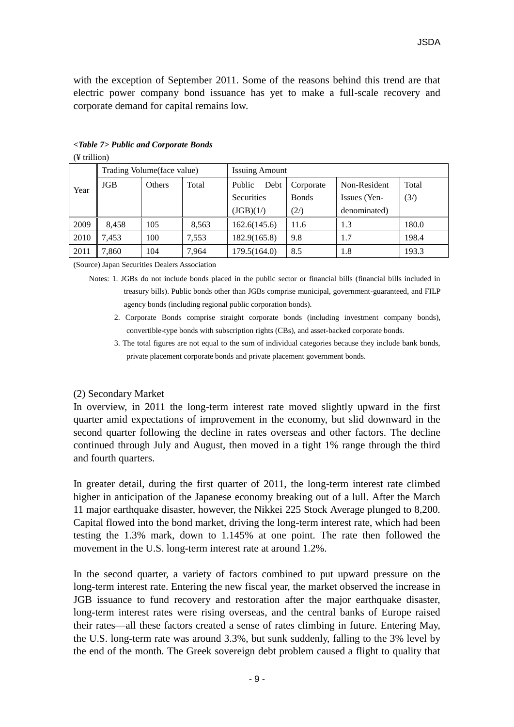with the exception of September 2011. Some of the reasons behind this trend are that electric power company bond issuance has yet to make a full-scale recovery and corporate demand for capital remains low.

| Year | Trading Volume (face value) |        |       | <b>Issuing Amount</b> |               |              |       |  |  |  |
|------|-----------------------------|--------|-------|-----------------------|---------------|--------------|-------|--|--|--|
|      | <b>JGB</b>                  | Others | Total | Public<br>Debt        | Corporate     | Non-Resident | Total |  |  |  |
|      |                             |        |       | <b>Securities</b>     | <b>B</b> onds | Issues (Yen- | (3/)  |  |  |  |
|      |                             |        |       | (JGB)(1/)             | (2/)          | denominated) |       |  |  |  |
| 2009 | 8,458                       | 105    | 8,563 | 162.6(145.6)          | 11.6          | 1.3          | 180.0 |  |  |  |
| 2010 | 7.453                       | 100    | 7,553 | 182.9(165.8)          | 9.8           | 1.7          | 198.4 |  |  |  |
| 2011 | '.860                       | 104    | 7.964 | 179.5(164.0)          | 8.5           | 1.8          | 193.3 |  |  |  |

#### *<Table 7> Public and Corporate Bonds* (¥ trillion)

(Source) Japan Securities Dealers Association

- Notes: 1. JGBs do not include bonds placed in the public sector or financial bills (financial bills included in treasury bills). Public bonds other than JGBs comprise municipal, government-guaranteed, and FILP agency bonds (including regional public corporation bonds).
	- 2. Corporate Bonds comprise straight corporate bonds (including investment company bonds), convertible-type bonds with subscription rights (CBs), and asset-backed corporate bonds.
	- 3. The total figures are not equal to the sum of individual categories because they include bank bonds, private placement corporate bonds and private placement government bonds.

### (2) Secondary Market

In overview, in 2011 the long-term interest rate moved slightly upward in the first quarter amid expectations of improvement in the economy, but slid downward in the second quarter following the decline in rates overseas and other factors. The decline continued through July and August, then moved in a tight 1% range through the third and fourth quarters.

In greater detail, during the first quarter of 2011, the long-term interest rate climbed higher in anticipation of the Japanese economy breaking out of a lull. After the March 11 major earthquake disaster, however, the Nikkei 225 Stock Average plunged to 8,200. Capital flowed into the bond market, driving the long-term interest rate, which had been testing the 1.3% mark, down to 1.145% at one point. The rate then followed the movement in the U.S. long-term interest rate at around 1.2%.

In the second quarter, a variety of factors combined to put upward pressure on the long-term interest rate. Entering the new fiscal year, the market observed the increase in JGB issuance to fund recovery and restoration after the major earthquake disaster, long-term interest rates were rising overseas, and the central banks of Europe raised their rates—all these factors created a sense of rates climbing in future. Entering May, the U.S. long-term rate was around 3.3%, but sunk suddenly, falling to the 3% level by the end of the month. The Greek sovereign debt problem caused a flight to quality that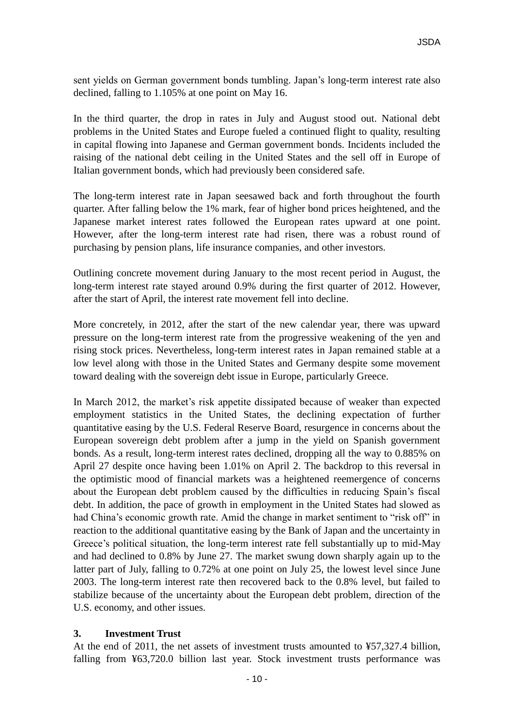sent yields on German government bonds tumbling. Japan's long-term interest rate also declined, falling to 1.105% at one point on May 16.

In the third quarter, the drop in rates in July and August stood out. National debt problems in the United States and Europe fueled a continued flight to quality, resulting in capital flowing into Japanese and German government bonds. Incidents included the raising of the national debt ceiling in the United States and the sell off in Europe of Italian government bonds, which had previously been considered safe.

The long-term interest rate in Japan seesawed back and forth throughout the fourth quarter. After falling below the 1% mark, fear of higher bond prices heightened, and the Japanese market interest rates followed the European rates upward at one point. However, after the long-term interest rate had risen, there was a robust round of purchasing by pension plans, life insurance companies, and other investors.

Outlining concrete movement during January to the most recent period in August, the long-term interest rate stayed around 0.9% during the first quarter of 2012. However, after the start of April, the interest rate movement fell into decline.

More concretely, in 2012, after the start of the new calendar year, there was upward pressure on the long-term interest rate from the progressive weakening of the yen and rising stock prices. Nevertheless, long-term interest rates in Japan remained stable at a low level along with those in the United States and Germany despite some movement toward dealing with the sovereign debt issue in Europe, particularly Greece.

In March 2012, the market's risk appetite dissipated because of weaker than expected employment statistics in the United States, the declining expectation of further quantitative easing by the U.S. Federal Reserve Board, resurgence in concerns about the European sovereign debt problem after a jump in the yield on Spanish government bonds. As a result, long-term interest rates declined, dropping all the way to 0.885% on April 27 despite once having been 1.01% on April 2. The backdrop to this reversal in the optimistic mood of financial markets was a heightened reemergence of concerns about the European debt problem caused by the difficulties in reducing Spain's fiscal debt. In addition, the pace of growth in employment in the United States had slowed as had China's economic growth rate. Amid the change in market sentiment to "risk off" in reaction to the additional quantitative easing by the Bank of Japan and the uncertainty in Greece's political situation, the long-term interest rate fell substantially up to mid-May and had declined to 0.8% by June 27. The market swung down sharply again up to the latter part of July, falling to 0.72% at one point on July 25, the lowest level since June 2003. The long-term interest rate then recovered back to the 0.8% level, but failed to stabilize because of the uncertainty about the European debt problem, direction of the U.S. economy, and other issues.

### **3. Investment Trust**

At the end of 2011, the net assets of investment trusts amounted to ¥57,327.4 billion, falling from ¥63,720.0 billion last year. Stock investment trusts performance was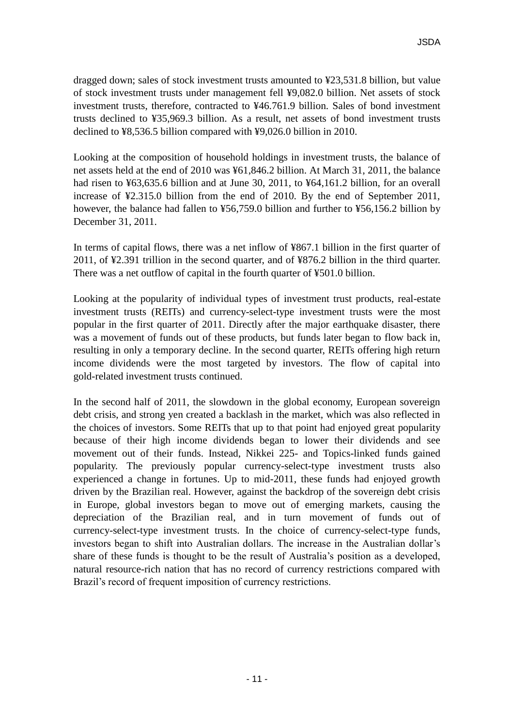dragged down; sales of stock investment trusts amounted to ¥23,531.8 billion, but value of stock investment trusts under management fell ¥9,082.0 billion. Net assets of stock investment trusts, therefore, contracted to ¥46.761.9 billion. Sales of bond investment trusts declined to ¥35,969.3 billion. As a result, net assets of bond investment trusts declined to ¥8,536.5 billion compared with ¥9,026.0 billion in 2010.

Looking at the composition of household holdings in investment trusts, the balance of net assets held at the end of 2010 was ¥61,846.2 billion. At March 31, 2011, the balance had risen to ¥63,635.6 billion and at June 30, 2011, to ¥64,161.2 billion, for an overall increase of ¥2.315.0 billion from the end of 2010. By the end of September 2011, however, the balance had fallen to ¥56,759.0 billion and further to ¥56,156.2 billion by December 31, 2011.

In terms of capital flows, there was a net inflow of ¥867.1 billion in the first quarter of 2011, of ¥2.391 trillion in the second quarter, and of ¥876.2 billion in the third quarter. There was a net outflow of capital in the fourth quarter of ¥501.0 billion.

Looking at the popularity of individual types of investment trust products, real-estate investment trusts (REITs) and currency-select-type investment trusts were the most popular in the first quarter of 2011. Directly after the major earthquake disaster, there was a movement of funds out of these products, but funds later began to flow back in, resulting in only a temporary decline. In the second quarter, REITs offering high return income dividends were the most targeted by investors. The flow of capital into gold-related investment trusts continued.

In the second half of 2011, the slowdown in the global economy, European sovereign debt crisis, and strong yen created a backlash in the market, which was also reflected in the choices of investors. Some REITs that up to that point had enjoyed great popularity because of their high income dividends began to lower their dividends and see movement out of their funds. Instead, Nikkei 225- and Topics-linked funds gained popularity. The previously popular currency-select-type investment trusts also experienced a change in fortunes. Up to mid-2011, these funds had enjoyed growth driven by the Brazilian real. However, against the backdrop of the sovereign debt crisis in Europe, global investors began to move out of emerging markets, causing the depreciation of the Brazilian real, and in turn movement of funds out of currency-select-type investment trusts. In the choice of currency-select-type funds, investors began to shift into Australian dollars. The increase in the Australian dollar's share of these funds is thought to be the result of Australia's position as a developed, natural resource-rich nation that has no record of currency restrictions compared with Brazil's record of frequent imposition of currency restrictions.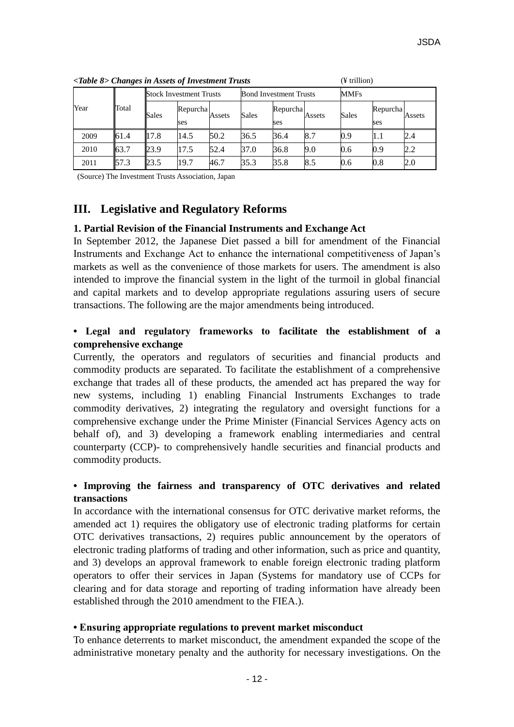| Year | Total |       | <b>Stock Investment Trusts</b> |        |       | <b>Bond Investment Trusts</b> |        | <b>MMFs</b>  |                 |        |
|------|-------|-------|--------------------------------|--------|-------|-------------------------------|--------|--------------|-----------------|--------|
|      |       | Sales | Repurcha<br>ses                | Assets | Sales | Repurcha<br>ses               | Assets | <b>Sales</b> | Repurcha<br>ses | Assets |
| 2009 | 61.4  | 17.8  | 14.5                           | 50.2   | 36.5  | 36.4                          | 8.7    | 0.9          | 1.1             | 2.4    |
| 2010 | 63.7  | 23.9  | 17.5                           | 52.4   | 37.0  | 36.8                          | 9.0    | 0.6          | 0.9             | 2.2    |
| 2011 | 57.3  | 23.5  | 19.7                           | 46.7   | 35.3  | 35.8                          | 8.5    | 0.6          | $0.8\,$         | 2.0    |

*<Table 8> Changes in Assets of Investment Trusts* (¥ trillion)

(Source) The Investment Trusts Association, Japan

# **III. Legislative and Regulatory Reforms**

### **1. Partial Revision of the Financial Instruments and Exchange Act**

In September 2012, the Japanese Diet passed a bill for amendment of the Financial Instruments and Exchange Act to enhance the international competitiveness of Japan's markets as well as the convenience of those markets for users. The amendment is also intended to improve the financial system in the light of the turmoil in global financial and capital markets and to develop appropriate regulations assuring users of secure transactions. The following are the major amendments being introduced.

## **• Legal and regulatory frameworks to facilitate the establishment of a comprehensive exchange**

Currently, the operators and regulators of securities and financial products and commodity products are separated. To facilitate the establishment of a comprehensive exchange that trades all of these products, the amended act has prepared the way for new systems, including 1) enabling Financial Instruments Exchanges to trade commodity derivatives, 2) integrating the regulatory and oversight functions for a comprehensive exchange under the Prime Minister (Financial Services Agency acts on behalf of), and 3) developing a framework enabling intermediaries and central counterparty (CCP)- to comprehensively handle securities and financial products and commodity products.

# **• Improving the fairness and transparency of OTC derivatives and related transactions**

In accordance with the international consensus for OTC derivative market reforms, the amended act 1) requires the obligatory use of electronic trading platforms for certain OTC derivatives transactions, 2) requires public announcement by the operators of electronic trading platforms of trading and other information, such as price and quantity, and 3) develops an approval framework to enable foreign electronic trading platform operators to offer their services in Japan (Systems for mandatory use of CCPs for clearing and for data storage and reporting of trading information have already been established through the 2010 amendment to the FIEA.).

### **• Ensuring appropriate regulations to prevent market misconduct**

To enhance deterrents to market misconduct, the amendment expanded the scope of the administrative monetary penalty and the authority for necessary investigations. On the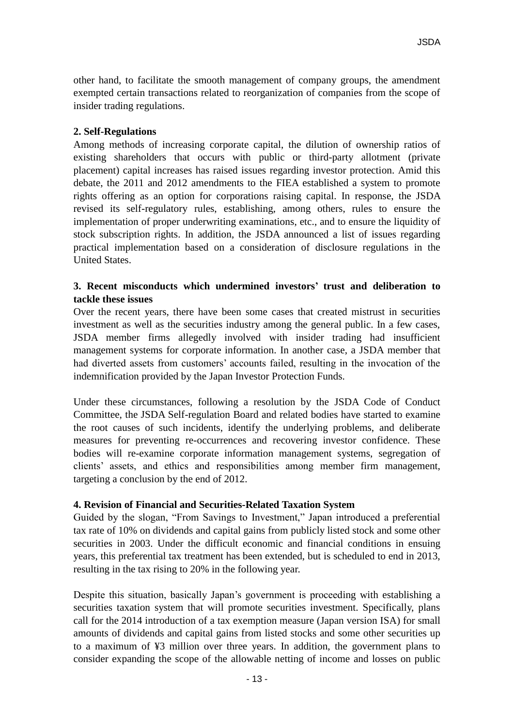other hand, to facilitate the smooth management of company groups, the amendment exempted certain transactions related to reorganization of companies from the scope of insider trading regulations.

### **2. Self-Regulations**

Among methods of increasing corporate capital, the dilution of ownership ratios of existing shareholders that occurs with public or third-party allotment (private placement) capital increases has raised issues regarding investor protection. Amid this debate, the 2011 and 2012 amendments to the FIEA established a system to promote rights offering as an option for corporations raising capital. In response, the JSDA revised its self-regulatory rules, establishing, among others, rules to ensure the implementation of proper underwriting examinations, etc., and to ensure the liquidity of stock subscription rights. In addition, the JSDA announced a list of issues regarding practical implementation based on a consideration of disclosure regulations in the United States.

### **3. Recent misconducts which undermined investors' trust and deliberation to tackle these issues**

Over the recent years, there have been some cases that created mistrust in securities investment as well as the securities industry among the general public. In a few cases, JSDA member firms allegedly involved with insider trading had insufficient management systems for corporate information. In another case, a JSDA member that had diverted assets from customers' accounts failed, resulting in the invocation of the indemnification provided by the Japan Investor Protection Funds.

Under these circumstances, following a resolution by the JSDA Code of Conduct Committee, the JSDA Self-regulation Board and related bodies have started to examine the root causes of such incidents, identify the underlying problems, and deliberate measures for preventing re-occurrences and recovering investor confidence. These bodies will re-examine corporate information management systems, segregation of clients' assets, and ethics and responsibilities among member firm management, targeting a conclusion by the end of 2012.

### **4. Revision of Financial and Securities-Related Taxation System**

Guided by the slogan, "From Savings to Investment," Japan introduced a preferential tax rate of 10% on dividends and capital gains from publicly listed stock and some other securities in 2003. Under the difficult economic and financial conditions in ensuing years, this preferential tax treatment has been extended, but is scheduled to end in 2013, resulting in the tax rising to 20% in the following year.

Despite this situation, basically Japan's government is proceeding with establishing a securities taxation system that will promote securities investment. Specifically, plans call for the 2014 introduction of a tax exemption measure (Japan version ISA) for small amounts of dividends and capital gains from listed stocks and some other securities up to a maximum of ¥3 million over three years. In addition, the government plans to consider expanding the scope of the allowable netting of income and losses on public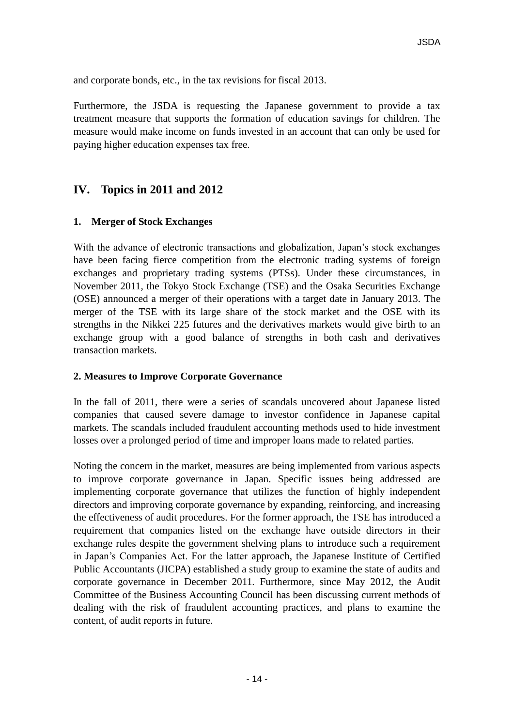and corporate bonds, etc., in the tax revisions for fiscal 2013.

Furthermore, the JSDA is requesting the Japanese government to provide a tax treatment measure that supports the formation of education savings for children. The measure would make income on funds invested in an account that can only be used for paying higher education expenses tax free.

# **IV. Topics in 2011 and 2012**

### **1. Merger of Stock Exchanges**

With the advance of electronic transactions and globalization, Japan's stock exchanges have been facing fierce competition from the electronic trading systems of foreign exchanges and proprietary trading systems (PTSs). Under these circumstances, in November 2011, the Tokyo Stock Exchange (TSE) and the Osaka Securities Exchange (OSE) announced a merger of their operations with a target date in January 2013. The merger of the TSE with its large share of the stock market and the OSE with its strengths in the Nikkei 225 futures and the derivatives markets would give birth to an exchange group with a good balance of strengths in both cash and derivatives transaction markets.

### **2. Measures to Improve Corporate Governance**

In the fall of 2011, there were a series of scandals uncovered about Japanese listed companies that caused severe damage to investor confidence in Japanese capital markets. The scandals included fraudulent accounting methods used to hide investment losses over a prolonged period of time and improper loans made to related parties.

Noting the concern in the market, measures are being implemented from various aspects to improve corporate governance in Japan. Specific issues being addressed are implementing corporate governance that utilizes the function of highly independent directors and improving corporate governance by expanding, reinforcing, and increasing the effectiveness of audit procedures. For the former approach, the TSE has introduced a requirement that companies listed on the exchange have outside directors in their exchange rules despite the government shelving plans to introduce such a requirement in Japan's Companies Act. For the latter approach, the Japanese Institute of Certified Public Accountants (JICPA) established a study group to examine the state of audits and corporate governance in December 2011. Furthermore, since May 2012, the Audit Committee of the Business Accounting Council has been discussing current methods of dealing with the risk of fraudulent accounting practices, and plans to examine the content, of audit reports in future.